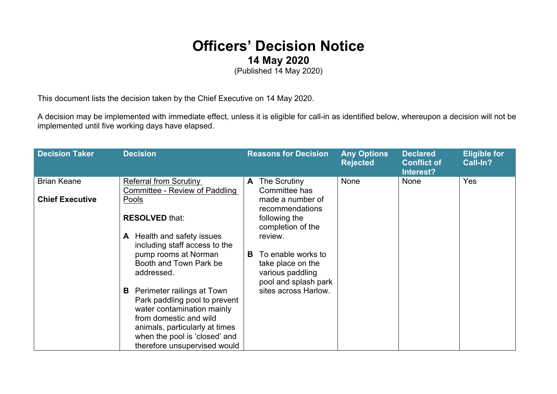## **Officers' Decision Notice 14 May 2020**

(Published 14 May 2020)

This document lists the decision taken by the Chief Executive on 14 May 2020.

A decision may be implemented with immediate effect, unless it is eligible for call-in as identified below, whereupon a decision will not be implemented until five working days have elapsed.

| <b>Decision Taker</b>  | <b>Decision</b>                                                                                                           | <b>Reasons for Decision</b>                                                              | <b>Any Options</b><br><b>Rejected</b> | <b>Declared</b><br><b>Conflict of</b><br>Interest? | <b>Eligible for</b><br>Call-In? |
|------------------------|---------------------------------------------------------------------------------------------------------------------------|------------------------------------------------------------------------------------------|---------------------------------------|----------------------------------------------------|---------------------------------|
| <b>Brian Keane</b>     | <b>Referral from Scrutiny</b><br>Committee - Review of Paddling                                                           | The Scrutiny<br>A<br>Committee has                                                       | None                                  | <b>None</b>                                        | Yes                             |
| <b>Chief Executive</b> | Pools                                                                                                                     | made a number of<br>recommendations                                                      |                                       |                                                    |                                 |
|                        | <b>RESOLVED that:</b>                                                                                                     | following the<br>completion of the                                                       |                                       |                                                    |                                 |
|                        | Health and safety issues<br>A<br>including staff access to the                                                            | review.                                                                                  |                                       |                                                    |                                 |
|                        | pump rooms at Norman<br>Booth and Town Park be<br>addressed.                                                              | To enable works to<br>B<br>take place on the<br>various paddling<br>pool and splash park |                                       |                                                    |                                 |
|                        | Perimeter railings at Town<br>B<br>Park paddling pool to prevent<br>water contamination mainly                            | sites across Harlow.                                                                     |                                       |                                                    |                                 |
|                        | from domestic and wild<br>animals, particularly at times<br>when the pool is 'closed' and<br>therefore unsupervised would |                                                                                          |                                       |                                                    |                                 |